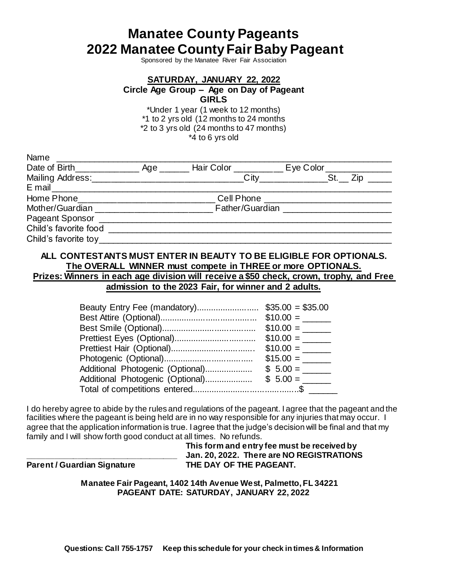# **Manatee County Pageants 2022 Manatee County Fair Baby Pageant**

Sponsored by the Manatee River Fair Association

# **SATURDAY, JANUARY 22, 2022 Circle Age Group – Age on Day of Pageant GIRLS**

\*Under 1 year (1 week to 12 months) \*1 to 2 yrs old (12 months to 24 months \*2 to 3 yrs old (24 months to 47 months) \*4 to 6 yrs old

| Name                            |                                                                                  |  |                                              |  |  |
|---------------------------------|----------------------------------------------------------------------------------|--|----------------------------------------------|--|--|
|                                 |                                                                                  |  |                                              |  |  |
|                                 |                                                                                  |  | $\text{City}$ $\qquad \qquad \text{St.}$ Zip |  |  |
|                                 |                                                                                  |  |                                              |  |  |
|                                 | Home Phone_______________________________Cell Phone ____________________________ |  |                                              |  |  |
|                                 | Mother/Guardian Father/Guardian Communication Contract of Tather/Guardian        |  |                                              |  |  |
|                                 |                                                                                  |  |                                              |  |  |
|                                 |                                                                                  |  |                                              |  |  |
| Child's favorite toy___________ |                                                                                  |  |                                              |  |  |
|                                 |                                                                                  |  |                                              |  |  |

### **ALL CONTESTANTS MUST ENTER IN BEAUTY TO BE ELIGIBLE FOR OPTIONALS. The OVERALL WINNER must compete in THREE or more OPTIONALS. Prizes: Winners in each age division will receive a \$50 check, crown, trophy, and Free**

**admission to the 2023 Fair, for winner and 2 adults.**

|                                  | $$35.00 = $35.00$ |
|----------------------------------|-------------------|
|                                  | $$10.00 =$        |
|                                  | $$10.00 =$        |
|                                  | $$10.00 =$        |
|                                  | $$10.00 =$        |
|                                  | $$15.00 =$        |
| Additional Photogenic (Optional) | $$5.00 =$         |
| Additional Photogenic (Optional) | $$5.00 =$         |
|                                  |                   |

I do hereby agree to abide by the rules and regulations of the pageant. I agree that the pageant and the facilities where the pageant is being held are in no way responsible for any injuries that may occur. I agree that the application information is true. I agree that the judge's decision will be final and that my family and I will show forth good conduct at all times. No refunds.

### **This form and entry fee must be received by \_\_\_\_\_\_\_\_\_\_\_\_\_\_\_\_\_\_\_\_\_\_\_\_\_\_\_\_\_\_\_\_\_ Jan. 20, 2022. There are NO REGISTRATIONS Parent / Guardian Signature THE DAY OF THE PAGEANT.**

**Manatee Fair Pageant, 1402 14th Avenue West, Palmetto, FL 34221 PAGEANT DATE: SATURDAY, JANUARY 22, 2022**